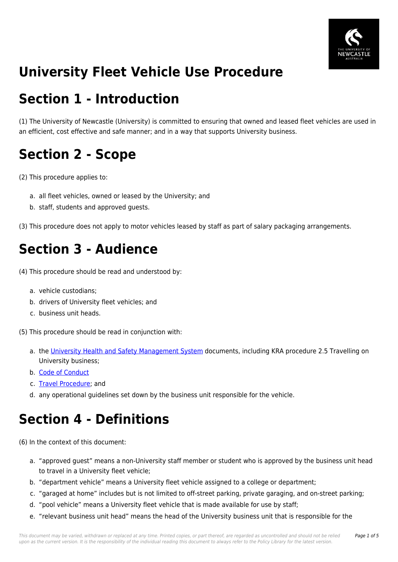

## **University Fleet Vehicle Use Procedure**

### **Section 1 - Introduction**

(1) The University of Newcastle (University) is committed to ensuring that owned and leased fleet vehicles are used in an efficient, cost effective and safe manner; and in a way that supports University business.

## **Section 2 - Scope**

- (2) This procedure applies to:
	- a. all fleet vehicles, owned or leased by the University; and
	- b. staff, students and approved guests.

(3) This procedure does not apply to motor vehicles leased by staff as part of salary packaging arrangements.

### **Section 3 - Audience**

- (4) This procedure should be read and understood by:
	- a. vehicle custodians;
	- b. drivers of University fleet vehicles; and
	- c. business unit heads.
- (5) This procedure should be read in conjunction with:
	- a. the [University Health and Safety Management System](https://policies.newcastle.edu.au/download.php?id=469&version=3&associated) documents, including KRA procedure 2.5 Travelling on University business;
	- b. [Code of Conduct](https://policies.newcastle.edu.au/document/view-current.php?id=204)
	- c. [Travel Procedure](https://policies.newcastle.edu.au/document/view-current.php?id=18); and
	- d. any operational guidelines set down by the business unit responsible for the vehicle.

### **Section 4 - Definitions**

(6) In the context of this document:

- a. "approved guest" means a non-University staff member or student who is approved by the business unit head to travel in a University fleet vehicle;
- b. "department vehicle" means a University fleet vehicle assigned to a college or department;
- c. "garaged at home" includes but is not limited to off-street parking, private garaging, and on-street parking;
- d. "pool vehicle" means a University fleet vehicle that is made available for use by staff;
- e. "relevant business unit head" means the head of the University business unit that is responsible for the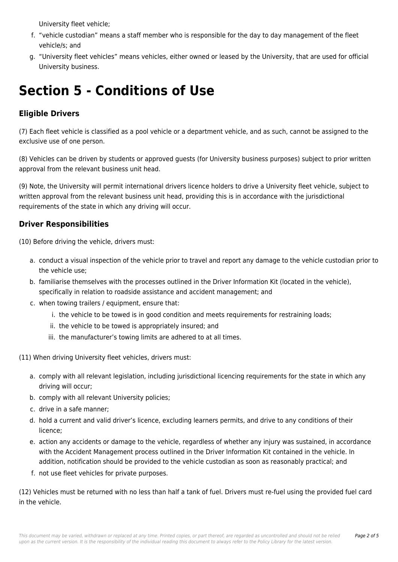University fleet vehicle;

- f. "vehicle custodian" means a staff member who is responsible for the day to day management of the fleet vehicle/s; and
- g. "University fleet vehicles" means vehicles, either owned or leased by the University, that are used for official University business.

## **Section 5 - Conditions of Use**

#### **Eligible Drivers**

(7) Each fleet vehicle is classified as a pool vehicle or a department vehicle, and as such, cannot be assigned to the exclusive use of one person.

(8) Vehicles can be driven by students or approved guests (for University business purposes) subject to prior written approval from the relevant business unit head.

(9) Note, the University will permit international drivers licence holders to drive a University fleet vehicle, subject to written approval from the relevant business unit head, providing this is in accordance with the jurisdictional requirements of the state in which any driving will occur.

### **Driver Responsibilities**

(10) Before driving the vehicle, drivers must:

- a. conduct a visual inspection of the vehicle prior to travel and report any damage to the vehicle custodian prior to the vehicle use;
- b. familiarise themselves with the processes outlined in the Driver Information Kit (located in the vehicle), specifically in relation to roadside assistance and accident management; and
- c. when towing trailers / equipment, ensure that:
	- i. the vehicle to be towed is in good condition and meets requirements for restraining loads;
	- ii. the vehicle to be towed is appropriately insured; and
	- iii. the manufacturer's towing limits are adhered to at all times.
- (11) When driving University fleet vehicles, drivers must:
	- a. comply with all relevant legislation, including jurisdictional licencing requirements for the state in which any driving will occur;
	- b. comply with all relevant University policies;
	- c. drive in a safe manner;
	- d. hold a current and valid driver's licence, excluding learners permits, and drive to any conditions of their licence;
	- e. action any accidents or damage to the vehicle, regardless of whether any injury was sustained, in accordance with the Accident Management process outlined in the Driver Information Kit contained in the vehicle. In addition, notification should be provided to the vehicle custodian as soon as reasonably practical; and
	- f. not use fleet vehicles for private purposes.

(12) Vehicles must be returned with no less than half a tank of fuel. Drivers must re-fuel using the provided fuel card in the vehicle.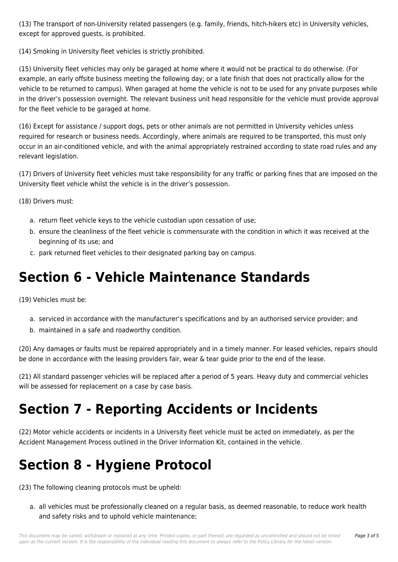(13) The transport of non-University related passengers (e.g. family, friends, hitch-hikers etc) in University vehicles, except for approved guests, is prohibited.

(14) Smoking in University fleet vehicles is strictly prohibited.

(15) University fleet vehicles may only be garaged at home where it would not be practical to do otherwise. (For example, an early offsite business meeting the following day; or a late finish that does not practically allow for the vehicle to be returned to campus). When garaged at home the vehicle is not to be used for any private purposes while in the driver's possession overnight. The relevant business unit head responsible for the vehicle must provide approval for the fleet vehicle to be garaged at home.

(16) Except for assistance / support dogs, pets or other animals are not permitted in University vehicles unless required for research or business needs. Accordingly, where animals are required to be transported, this must only occur in an air-conditioned vehicle, and with the animal appropriately restrained according to state road rules and any relevant legislation.

(17) Drivers of University fleet vehicles must take responsibility for any traffic or parking fines that are imposed on the University fleet vehicle whilst the vehicle is in the driver's possession.

(18) Drivers must:

- a. return fleet vehicle keys to the vehicle custodian upon cessation of use;
- b. ensure the cleanliness of the fleet vehicle is commensurate with the condition in which it was received at the beginning of its use; and
- c. park returned fleet vehicles to their designated parking bay on campus.

### **Section 6 - Vehicle Maintenance Standards**

(19) Vehicles must be:

- a. serviced in accordance with the manufacturer's specifications and by an authorised service provider; and
- b. maintained in a safe and roadworthy condition.

(20) Any damages or faults must be repaired appropriately and in a timely manner. For leased vehicles, repairs should be done in accordance with the leasing providers fair, wear & tear guide prior to the end of the lease.

(21) All standard passenger vehicles will be replaced after a period of 5 years. Heavy duty and commercial vehicles will be assessed for replacement on a case by case basis.

## **Section 7 - Reporting Accidents or Incidents**

(22) Motor vehicle accidents or incidents in a University fleet vehicle must be acted on immediately, as per the Accident Management Process outlined in the Driver Information Kit, contained in the vehicle.

# **Section 8 - Hygiene Protocol**

(23) The following cleaning protocols must be upheld:

a. all vehicles must be professionally cleaned on a regular basis, as deemed reasonable, to reduce work health and safety risks and to uphold vehicle maintenance;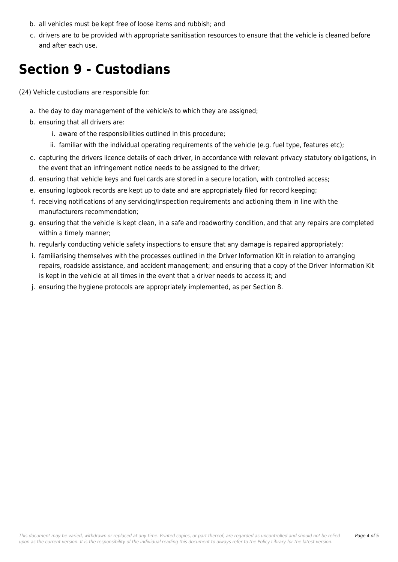- b. all vehicles must be kept free of loose items and rubbish; and
- c. drivers are to be provided with appropriate sanitisation resources to ensure that the vehicle is cleaned before and after each use.

### **Section 9 - Custodians**

(24) Vehicle custodians are responsible for:

- a. the day to day management of the vehicle/s to which they are assigned;
- b. ensuring that all drivers are:
	- i. aware of the responsibilities outlined in this procedure;
	- ii. familiar with the individual operating requirements of the vehicle (e.g. fuel type, features etc);
- c. capturing the drivers licence details of each driver, in accordance with relevant privacy statutory obligations, in the event that an infringement notice needs to be assigned to the driver;
- d. ensuring that vehicle keys and fuel cards are stored in a secure location, with controlled access;
- e. ensuring logbook records are kept up to date and are appropriately filed for record keeping;
- f. receiving notifications of any servicing/inspection requirements and actioning them in line with the manufacturers recommendation;
- g. ensuring that the vehicle is kept clean, in a safe and roadworthy condition, and that any repairs are completed within a timely manner;
- h. regularly conducting vehicle safety inspections to ensure that any damage is repaired appropriately;
- i. familiarising themselves with the processes outlined in the Driver Information Kit in relation to arranging repairs, roadside assistance, and accident management; and ensuring that a copy of the Driver Information Kit is kept in the vehicle at all times in the event that a driver needs to access it; and
- j. ensuring the hygiene protocols are appropriately implemented, as per Section 8.